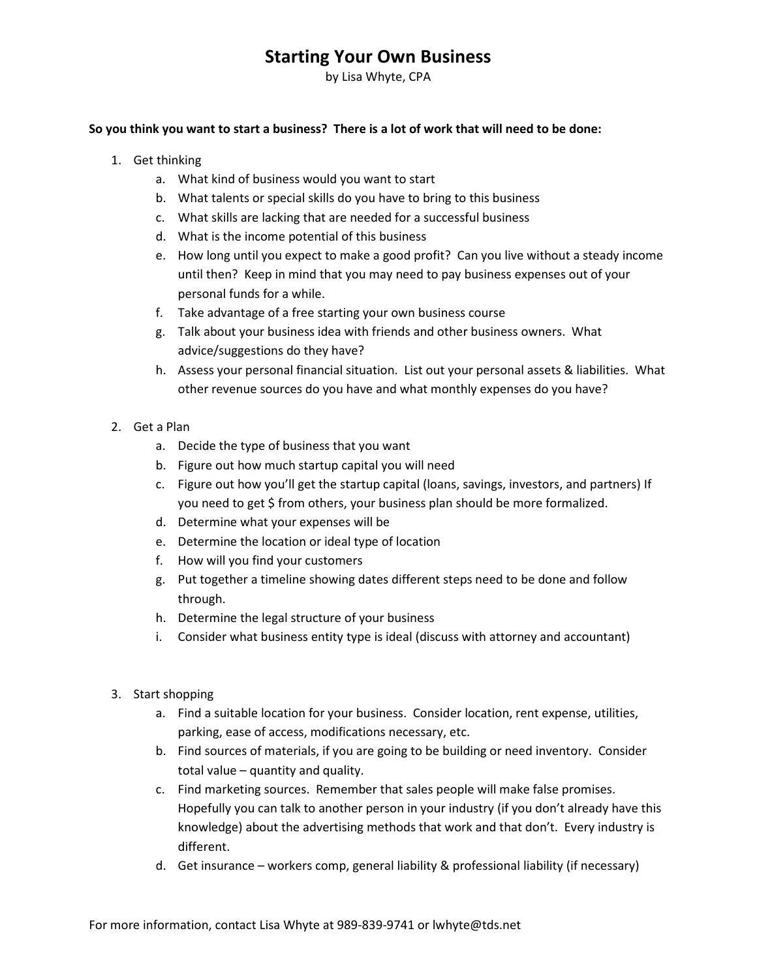## Starting Your Own Business

by Lisa Whyte, CPA

## So you think you want to start a business? There is a lot of work that will need to be done:

- 1. Get thinking
	- a. What kind of business would you want to start
	- b. What talents or special skills do you have to bring to this business
	- c. What skills are lacking that are needed for a successful business
	- d. What is the income potential of this business
	- e. How long until you expect to make a good profit? Can you live without a steady income until then? Keep in mind that you may need to pay business expenses out of your personal funds for a while.
	- f. Take advantage of a free starting your own business course
	- g. Talk about your business idea with friends and other business owners. What advice/suggestions do they have?
	- h. Assess your personal financial situation. List out your personal assets & liabilities. What other revenue sources do you have and what monthly expenses do you have?
- 2. Get a Plan
	- a. Decide the type of business that you want
	- b. Figure out how much startup capital you will need
	- c. Figure out how you'll get the startup capital (loans, savings, investors, and partners) If you need to get \$ from others, your business plan should be more formalized.
	- d. Determine what your expenses will be
	- e. Determine the location or ideal type of location
	- f. How will you find your customers
	- g. Put together a timeline showing dates different steps need to be done and follow through.
	- h. Determine the legal structure of your business
	- i. Consider what business entity type is ideal (discuss with attorney and accountant)
- 3. Start shopping
	- a. Find a suitable location for your business. Consider location, rent expense, utilities, parking, ease of access, modifications necessary, etc.
	- b. Find sources of materials, if you are going to be building or need inventory. Consider total value – quantity and quality.
	- c. Find marketing sources. Remember that sales people will make false promises. Hopefully you can talk to another person in your industry (if you don't already have this knowledge) about the advertising methods that work and that don't. Every industry is different.
	- d. Get insurance workers comp, general liability & professional liability (if necessary)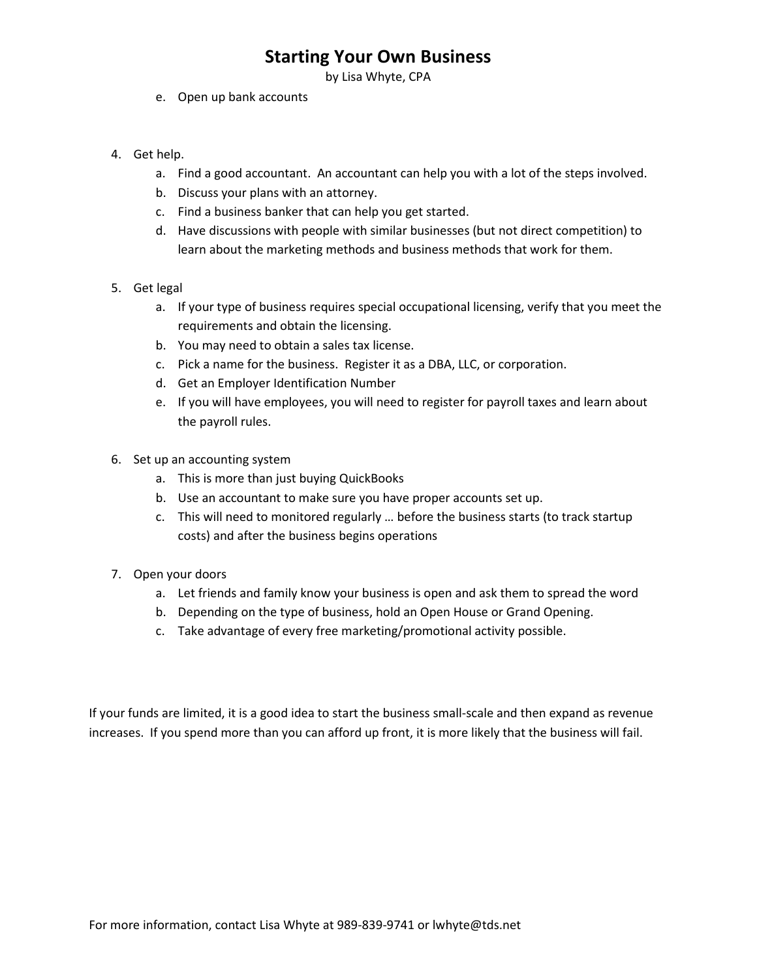## Starting Your Own Business

by Lisa Whyte, CPA

- e. Open up bank accounts
- 4. Get help.
	- a. Find a good accountant. An accountant can help you with a lot of the steps involved.
	- b. Discuss your plans with an attorney.
	- c. Find a business banker that can help you get started.
	- d. Have discussions with people with similar businesses (but not direct competition) to learn about the marketing methods and business methods that work for them.
- 5. Get legal
	- a. If your type of business requires special occupational licensing, verify that you meet the requirements and obtain the licensing.
	- b. You may need to obtain a sales tax license.
	- c. Pick a name for the business. Register it as a DBA, LLC, or corporation.
	- d. Get an Employer Identification Number
	- e. If you will have employees, you will need to register for payroll taxes and learn about the payroll rules.
- 6. Set up an accounting system
	- a. This is more than just buying QuickBooks
	- b. Use an accountant to make sure you have proper accounts set up.
	- c. This will need to monitored regularly … before the business starts (to track startup costs) and after the business begins operations
- 7. Open your doors
	- a. Let friends and family know your business is open and ask them to spread the word
	- b. Depending on the type of business, hold an Open House or Grand Opening.
	- c. Take advantage of every free marketing/promotional activity possible.

If your funds are limited, it is a good idea to start the business small-scale and then expand as revenue increases. If you spend more than you can afford up front, it is more likely that the business will fail.